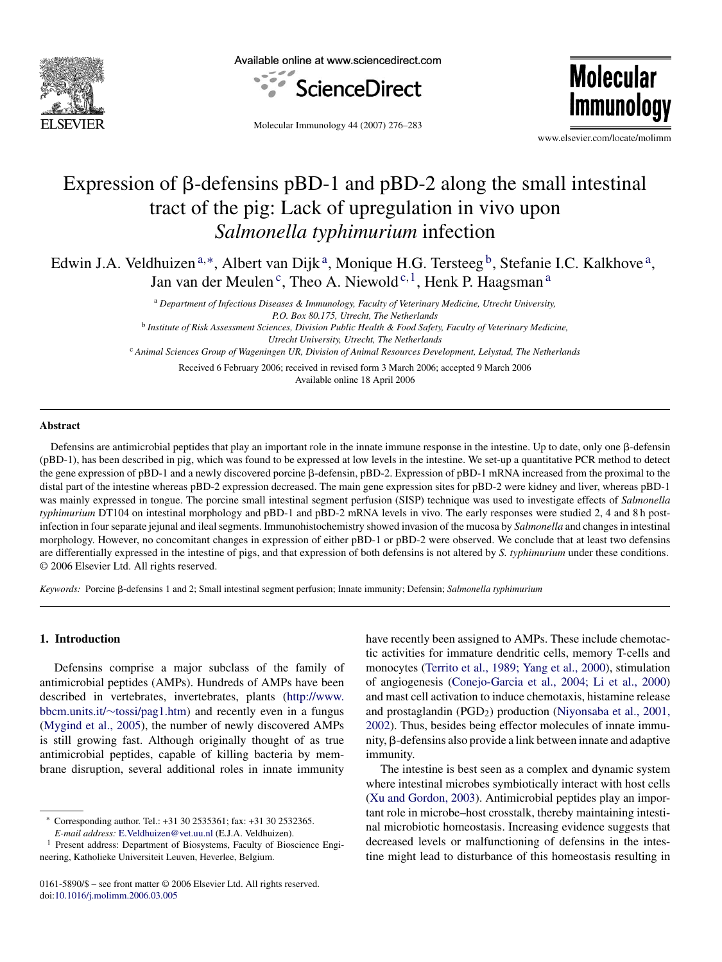

Available online at www.sciencedirect.com



**Molecular** Immunology

Molecular Immunology 44 (2007) 276–283

www.elsevier.com/locate/molimm

# Expression of  $\beta$ -defensins pBD-1 and pBD-2 along the small intestinal tract of the pig: Lack of upregulation in vivo upon *Salmonella typhimurium* infection

Edwin J.A. Veldhuizen<sup>a,∗</sup>, Albert van Dijk<sup>a</sup>, Monique H.G. Tersteeg<sup>b</sup>, Stefanie I.C. Kalkhove<sup>a</sup>, Jan van der Meulen<sup>c</sup>, Theo A. Niewold<sup>c, 1</sup>, Henk P. Haagsman<sup>a</sup>

> <sup>a</sup> *Department of Infectious Diseases & Immunology, Faculty of Veterinary Medicine, Utrecht University, P.O. Box 80.175, Utrecht, The Netherlands*

<sup>b</sup> *Institute of Risk Assessment Sciences, Division Public Health & Food Safety, Faculty of Veterinary Medicine, Utrecht University, Utrecht, The Netherlands*

<sup>c</sup> *Animal Sciences Group of Wageningen UR, Division of Animal Resources Development, Lelystad, The Netherlands*

Received 6 February 2006; received in revised form 3 March 2006; accepted 9 March 2006 Available online 18 April 2006

#### **Abstract**

Defensins are antimicrobial peptides that play an important role in the innate immune response in the intestine. Up to date, only one  $\beta$ -defensin (pBD-1), has been described in pig, which was found to be expressed at low levels in the intestine. We set-up a quantitative PCR method to detect the gene expression of pBD-1 and a newly discovered porcine  $\beta$ -defensin, pBD-2. Expression of pBD-1 mRNA increased from the proximal to the distal part of the intestine whereas pBD-2 expression decreased. The main gene expression sites for pBD-2 were kidney and liver, whereas pBD-1 was mainly expressed in tongue. The porcine small intestinal segment perfusion (SISP) technique was used to investigate effects of *Salmonella typhimurium* DT104 on intestinal morphology and pBD-1 and pBD-2 mRNA levels in vivo. The early responses were studied 2, 4 and 8 h postinfection in four separate jejunal and ileal segments. Immunohistochemistry showed invasion of the mucosa by *Salmonella* and changes in intestinal morphology. However, no concomitant changes in expression of either pBD-1 or pBD-2 were observed. We conclude that at least two defensins are differentially expressed in the intestine of pigs, and that expression of both defensins is not altered by *S. typhimurium* under these conditions. © 2006 Elsevier Ltd. All rights reserved.

Keywords: Porcine  $\beta$ -defensins 1 and 2; Small intestinal segment perfusion; Innate immunity; Defensin; *Salmonella typhimurium* 

## **1. Introduction**

Defensins comprise a major subclass of the family of antimicrobial peptides (AMPs). Hundreds of AMPs have been described in vertebrates, invertebrates, plants ([http://www.](http://www.bbcm.units.it/~tossi/pag1.htm) bbcm.units.it/∼[tossi/pag1.htm\)](http://www.bbcm.units.it/~tossi/pag1.htm) and recently even in a fungus [\(Mygind et al., 2005\),](#page-6-0) the number of newly discovered AMPs is still growing fast. Although originally thought of as true antimicrobial peptides, capable of killing bacteria by membrane disruption, several additional roles in innate immunity

have recently been assigned to AMPs. These include chemotactic activities for immature dendritic cells, memory T-cells and monocytes ([Territo et al., 1989; Yang et al., 2000\),](#page-7-0) stimulation of angiogenesis ([Conejo-Garcia et al., 2004; Li et al., 2000\)](#page-6-0) and mast cell activation to induce chemotaxis, histamine release and prostaglandin ( $PGD<sub>2</sub>$ ) production (Nivonsaba et al., 2001, [2002\).](#page-7-0) Thus, besides being effector molecules of innate immunity,  $\beta$ -defensins also provide a link between innate and adaptive immunity.

The intestine is best seen as a complex and dynamic system where intestinal microbes symbiotically interact with host cells [\(Xu and Gordon, 2003\).](#page-7-0) Antimicrobial peptides play an important role in microbe–host crosstalk, thereby maintaining intestinal microbiotic homeostasis. Increasing evidence suggests that decreased levels or malfunctioning of defensins in the intestine might lead to disturbance of this homeostasis resulting in

<sup>∗</sup> Corresponding author. Tel.: +31 30 2535361; fax: +31 30 2532365. *E-mail address:* [E.Veldhuizen@vet.uu.nl](mailto:E.Veldhuizen@vet.uu.nl) (E.J.A. Veldhuizen).

<sup>1</sup> Present address: Department of Biosystems, Faculty of Bioscience Engineering, Katholieke Universiteit Leuven, Heverlee, Belgium.

<sup>0161-5890/\$ –</sup> see front matter © 2006 Elsevier Ltd. All rights reserved. doi[:10.1016/j.molimm.2006.03.005](dx.doi.org/10.1016/j.molimm.2006.03.005)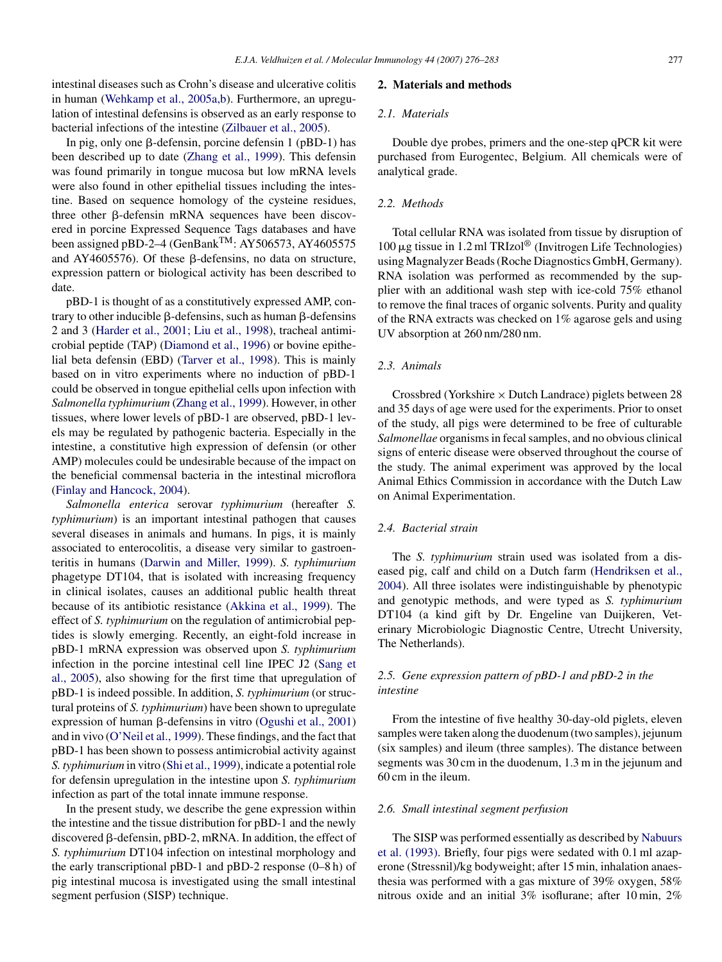intestinal diseases such as Crohn's disease and ulcerative colitis in human ([Wehkamp et al., 2005a,b\).](#page-7-0) Furthermore, an upregulation of intestinal defensins is observed as an early response to bacterial infections of the intestine [\(Zilbauer et al., 2005\).](#page-7-0)

In pig, only one  $\beta$ -defensin, porcine defensin 1 (pBD-1) has been described up to date [\(Zhang et al., 1999\).](#page-7-0) This defensin was found primarily in tongue mucosa but low mRNA levels were also found in other epithelial tissues including the intestine. Based on sequence homology of the cysteine residues, three other  $\beta$ -defensin mRNA sequences have been discovered in porcine Expressed Sequence Tags databases and have been assigned pBD-2-4 (GenBank<sup>TM</sup>: AY506573, AY4605575 and AY4605576). Of these  $\beta$ -defensins, no data on structure, expression pattern or biological activity has been described to date.

pBD-1 is thought of as a constitutively expressed AMP, contrary to other inducible  $\beta$ -defensins, such as human  $\beta$ -defensins 2 and 3 ([Harder et al., 2001; Liu et al., 1998\),](#page-6-0) tracheal antimicrobial peptide (TAP) [\(Diamond et al., 1996\)](#page-6-0) or bovine epithelial beta defensin (EBD) ([Tarver et al., 1998\).](#page-7-0) This is mainly based on in vitro experiments where no induction of pBD-1 could be observed in tongue epithelial cells upon infection with *Salmonella typhimurium* ([Zhang et al., 1999\).](#page-7-0) However, in other tissues, where lower levels of pBD-1 are observed, pBD-1 levels may be regulated by pathogenic bacteria. Especially in the intestine, a constitutive high expression of defensin (or other AMP) molecules could be undesirable because of the impact on the beneficial commensal bacteria in the intestinal microflora ([Finlay and Hancock, 2004\).](#page-6-0)

*Salmonella enterica* serovar *typhimurium* (hereafter *S. typhimurium*) is an important intestinal pathogen that causes several diseases in animals and humans. In pigs, it is mainly associated to enterocolitis, a disease very similar to gastroenteritis in humans ([Darwin and Miller, 1999\).](#page-6-0) *S. typhimurium* phagetype DT104, that is isolated with increasing frequency in clinical isolates, causes an additional public health threat because of its antibiotic resistance ([Akkina et al., 1999\).](#page-6-0) The effect of *S. typhimurium* on the regulation of antimicrobial peptides is slowly emerging. Recently, an eight-fold increase in pBD-1 mRNA expression was observed upon *S. typhimurium* infection in the porcine intestinal cell line IPEC J2 ([Sang et](#page-7-0) [al., 2005\),](#page-7-0) also showing for the first time that upregulation of pBD-1 is indeed possible. In addition, *S. typhimurium* (or structural proteins of *S. typhimurium*) have been shown to upregulate expression of human  $\beta$ -defensins in vitro [\(Ogushi et al., 2001\)](#page-7-0) and in vivo ([O'Neil et al., 1999\).](#page-7-0) These findings, and the fact that pBD-1 has been shown to possess antimicrobial activity against *S. typhimurium* in vitro [\(Shi et al., 1999\),](#page-7-0) indicate a potential role for defensin upregulation in the intestine upon *S. typhimurium* infection as part of the total innate immune response.

In the present study, we describe the gene expression within the intestine and the tissue distribution for pBD-1 and the newly discovered  $\beta$ -defensin, pBD-2, mRNA. In addition, the effect of *S. typhimurium* DT104 infection on intestinal morphology and the early transcriptional pBD-1 and pBD-2 response (0–8 h) of pig intestinal mucosa is investigated using the small intestinal segment perfusion (SISP) technique.

## **2. Materials and methods**

#### *2.1. Materials*

Double dye probes, primers and the one-step qPCR kit were purchased from Eurogentec, Belgium. All chemicals were of analytical grade.

#### *2.2. Methods*

Total cellular RNA was isolated from tissue by disruption of 100  $\mu$ g tissue in 1.2 ml TRIzol® (Invitrogen Life Technologies) using Magnalyzer Beads (Roche Diagnostics GmbH, Germany). RNA isolation was performed as recommended by the supplier with an additional wash step with ice-cold 75% ethanol to remove the final traces of organic solvents. Purity and quality of the RNA extracts was checked on 1% agarose gels and using UV absorption at 260 nm/280 nm.

#### *2.3. Animals*

Crossbred (Yorkshire  $\times$  Dutch Landrace) piglets between 28 and 35 days of age were used for the experiments. Prior to onset of the study, all pigs were determined to be free of culturable *Salmonellae* organisms in fecal samples, and no obvious clinical signs of enteric disease were observed throughout the course of the study. The animal experiment was approved by the local Animal Ethics Commission in accordance with the Dutch Law on Animal Experimentation.

## *2.4. Bacterial strain*

The *S. typhimurium* strain used was isolated from a diseased pig, calf and child on a Dutch farm [\(Hendriksen et al.,](#page-6-0) [2004\).](#page-6-0) All three isolates were indistinguishable by phenotypic and genotypic methods, and were typed as *S. typhimurium* DT104 (a kind gift by Dr. Engeline van Duijkeren, Veterinary Microbiologic Diagnostic Centre, Utrecht University, The Netherlands).

# *2.5. Gene expression pattern of pBD-1 and pBD-2 in the intestine*

From the intestine of five healthy 30-day-old piglets, eleven samples were taken along the duodenum (two samples), jejunum (six samples) and ileum (three samples). The distance between segments was 30 cm in the duodenum, 1.3 m in the jejunum and 60 cm in the ileum.

#### *2.6. Small intestinal segment perfusion*

The SISP was performed essentially as described by [Nabuurs](#page-7-0) [et al. \(1993\).](#page-7-0) Briefly, four pigs were sedated with 0.1 ml azaperone (Stressnil)/kg bodyweight; after 15 min, inhalation anaesthesia was performed with a gas mixture of 39% oxygen, 58% nitrous oxide and an initial 3% isoflurane; after 10 min, 2%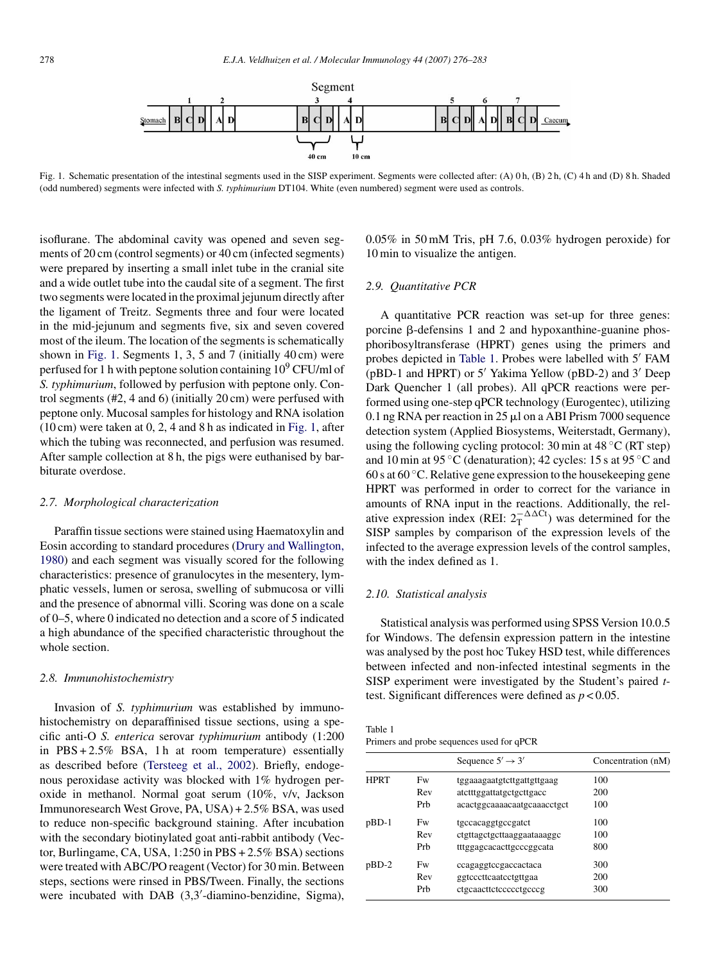

Fig. 1. Schematic presentation of the intestinal segments used in the SISP experiment. Segments were collected after: (A) 0 h, (B) 2 h, (C) 4 h and (D) 8 h. Shaded (odd numbered) segments were infected with *S. typhimurium* DT104. White (even numbered) segment were used as controls.

isoflurane. The abdominal cavity was opened and seven segments of 20 cm (control segments) or 40 cm (infected segments) were prepared by inserting a small inlet tube in the cranial site and a wide outlet tube into the caudal site of a segment. The first two segments were located in the proximal jejunum directly after the ligament of Treitz. Segments three and four were located in the mid-jejunum and segments five, six and seven covered most of the ileum. The location of the segments is schematically shown in Fig. 1. Segments 1, 3, 5 and 7 (initially  $40 \text{ cm}$ ) were perfused for 1 h with peptone solution containing 10<sup>9</sup> CFU/ml of *S. typhimurium*, followed by perfusion with peptone only. Control segments (#2, 4 and 6) (initially 20 cm) were perfused with peptone only. Mucosal samples for histology and RNA isolation (10 cm) were taken at 0, 2, 4 and 8 h as indicated in Fig. 1, after which the tubing was reconnected, and perfusion was resumed. After sample collection at 8 h, the pigs were euthanised by barbiturate overdose.

#### *2.7. Morphological characterization*

Paraffin tissue sections were stained using Haematoxylin and Eosin according to standard procedures ([Drury and Wallington,](#page-6-0) [1980\)](#page-6-0) and each segment was visually scored for the following characteristics: presence of granulocytes in the mesentery, lymphatic vessels, lumen or serosa, swelling of submucosa or villi and the presence of abnormal villi. Scoring was done on a scale of 0–5, where 0 indicated no detection and a score of 5 indicated a high abundance of the specified characteristic throughout the whole section.

#### *2.8. Immunohistochemistry*

Invasion of *S. typhimurium* was established by immunohistochemistry on deparaffinised tissue sections, using a specific anti-O *S. enterica* serovar *typhimurium* antibody (1:200 in  $PBS + 2.5\%$  BSA, 1h at room temperature) essentially as described before [\(Tersteeg et al., 2002\).](#page-7-0) Briefly, endogenous peroxidase activity was blocked with 1% hydrogen peroxide in methanol. Normal goat serum (10%, v/v, Jackson Immunoresearch West Grove, PA, USA) + 2.5% BSA, was used to reduce non-specific background staining. After incubation with the secondary biotinylated goat anti-rabbit antibody (Vector, Burlingame, CA, USA, 1:250 in PBS + 2.5% BSA) sections were treated with ABC/PO reagent (Vector) for 30 min. Between steps, sections were rinsed in PBS/Tween. Finally, the sections were incubated with DAB (3,3 -diamino-benzidine, Sigma),

0.05% in 50 mM Tris, pH 7.6, 0.03% hydrogen peroxide) for 10 min to visualize the antigen.

#### *2.9. Quantitative PCR*

A quantitative PCR reaction was set-up for three genes: porcine B-defensins 1 and 2 and hypoxanthine-guanine phosphoribosyltransferase (HPRT) genes using the primers and probes depicted in Table 1. Probes were labelled with 5' FAM (pBD-1 and HPRT) or  $5'$  Yakima Yellow (pBD-2) and  $3'$  Deep Dark Quencher 1 (all probes). All qPCR reactions were performed using one-step qPCR technology (Eurogentec), utilizing 0.1 ng RNA per reaction in 25  $\mu$ l on a ABI Prism 7000 sequence detection system (Applied Biosystems, Weiterstadt, Germany), using the following cycling protocol: 30 min at  $48\degree$ C (RT step) and 10 min at 95 °C (denaturation); 42 cycles: 15 s at 95 °C and 60 s at 60  $\degree$ C. Relative gene expression to the house keeping gene HPRT was performed in order to correct for the variance in amounts of RNA input in the reactions. Additionally, the relative expression index (REI:  $2_T^{-\Delta\Delta Ct}$ ) was determined for the SISP samples by comparison of the expression levels of the infected to the average expression levels of the control samples, with the index defined as 1.

## *2.10. Statistical analysis*

Statistical analysis was performed using SPSS Version 10.0.5 for Windows. The defensin expression pattern in the intestine was analysed by the post hoc Tukey HSD test, while differences between infected and non-infected intestinal segments in the SISP experiment were investigated by the Student's paired *t*test. Significant differences were defined as *p* < 0.05.

Table 1 Primers and probe sequences used for qPCR

| Sequence $5' \rightarrow 3'$ | Concentration (nM) |
|------------------------------|--------------------|
| tggaaagaatgtcttgattgttgaag   | 100                |
| atctttggattatgctgcttgacc     | 200                |
| acactggcaaaacaatgcaaacctgct  | 100                |
| tgccacaggtgccgatct           | 100                |
| ctgttagctgcttaaggaataaaggc   | 100                |
| tttggagcacacttgcccggcata     | 800                |
| ccagaggtccgaccactaca         | 300                |
| ggtcccttcaatcctgttgaa        | 200                |
| ctgcaacttctccccctgcccg       | 300                |
|                              |                    |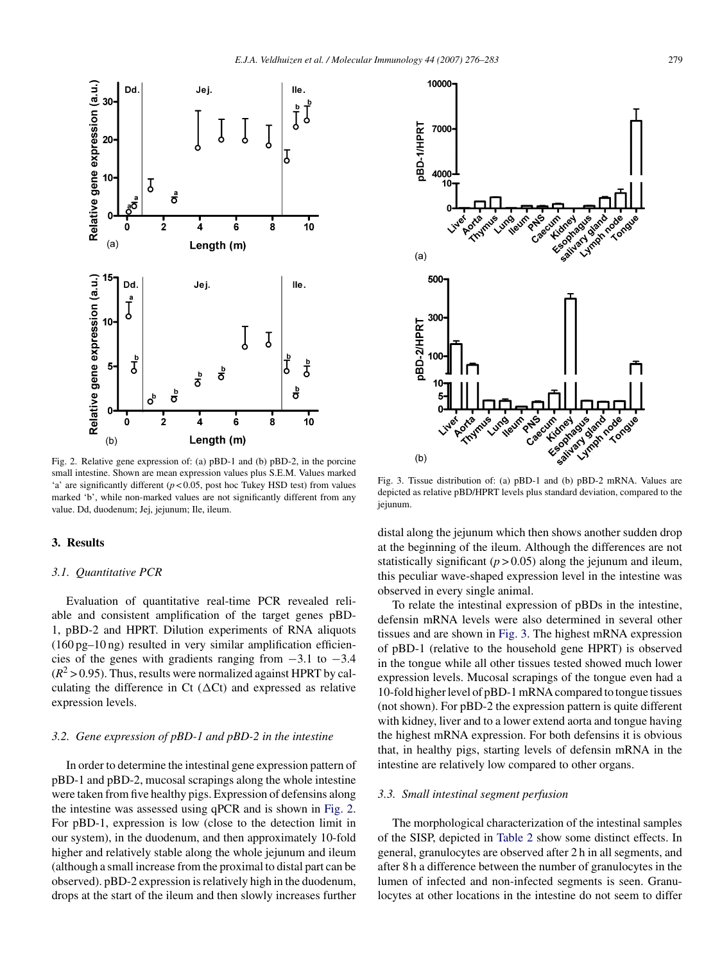<span id="page-3-0"></span>

Fig. 2. Relative gene expression of: (a) pBD-1 and (b) pBD-2, in the porcine small intestine. Shown are mean expression values plus S.E.M. Values marked 'a' are significantly different  $(p < 0.05$ , post hoc Tukey HSD test) from values marked 'b', while non-marked values are not significantly different from any value. Dd, duodenum; Jej, jejunum; Ile, ileum.

## **3. Results**

#### *3.1. Quantitative PCR*

Evaluation of quantitative real-time PCR revealed reliable and consistent amplification of the target genes pBD-1, pBD-2 and HPRT. Dilution experiments of RNA aliquots  $(160 \text{ pg} - 10 \text{ ng})$  resulted in very similar amplification efficiencies of the genes with gradients ranging from −3.1 to −3.4  $(R^2 > 0.95)$ . Thus, results were normalized against HPRT by calculating the difference in Ct  $(\Delta Ct)$  and expressed as relative expression levels.

#### *3.2. Gene expression of pBD-1 and pBD-2 in the intestine*

In order to determine the intestinal gene expression pattern of pBD-1 and pBD-2, mucosal scrapings along the whole intestine were taken from five healthy pigs. Expression of defensins along the intestine was assessed using qPCR and is shown in Fig. 2. For pBD-1, expression is low (close to the detection limit in our system), in the duodenum, and then approximately 10-fold higher and relatively stable along the whole jejunum and ileum (although a small increase from the proximal to distal part can be observed). pBD-2 expression is relatively high in the duodenum, drops at the start of the ileum and then slowly increases further



Fig. 3. Tissue distribution of: (a) pBD-1 and (b) pBD-2 mRNA. Values are depicted as relative pBD/HPRT levels plus standard deviation, compared to the jejunum.

distal along the jejunum which then shows another sudden drop at the beginning of the ileum. Although the differences are not statistically significant  $(p > 0.05)$  along the jejunum and ileum, this peculiar wave-shaped expression level in the intestine was observed in every single animal.

To relate the intestinal expression of pBDs in the intestine, defensin mRNA levels were also determined in several other tissues and are shown in Fig. 3. The highest mRNA expression of pBD-1 (relative to the household gene HPRT) is observed in the tongue while all other tissues tested showed much lower expression levels. Mucosal scrapings of the tongue even had a 10-fold higher level of pBD-1 mRNA compared to tongue tissues (not shown). For pBD-2 the expression pattern is quite different with kidney, liver and to a lower extend aorta and tongue having the highest mRNA expression. For both defensins it is obvious that, in healthy pigs, starting levels of defensin mRNA in the intestine are relatively low compared to other organs.

#### *3.3. Small intestinal segment perfusion*

The morphological characterization of the intestinal samples of the SISP, depicted in [Table 2](#page-4-0) show some distinct effects. In general, granulocytes are observed after 2 h in all segments, and after 8 h a difference between the number of granulocytes in the lumen of infected and non-infected segments is seen. Granulocytes at other locations in the intestine do not seem to differ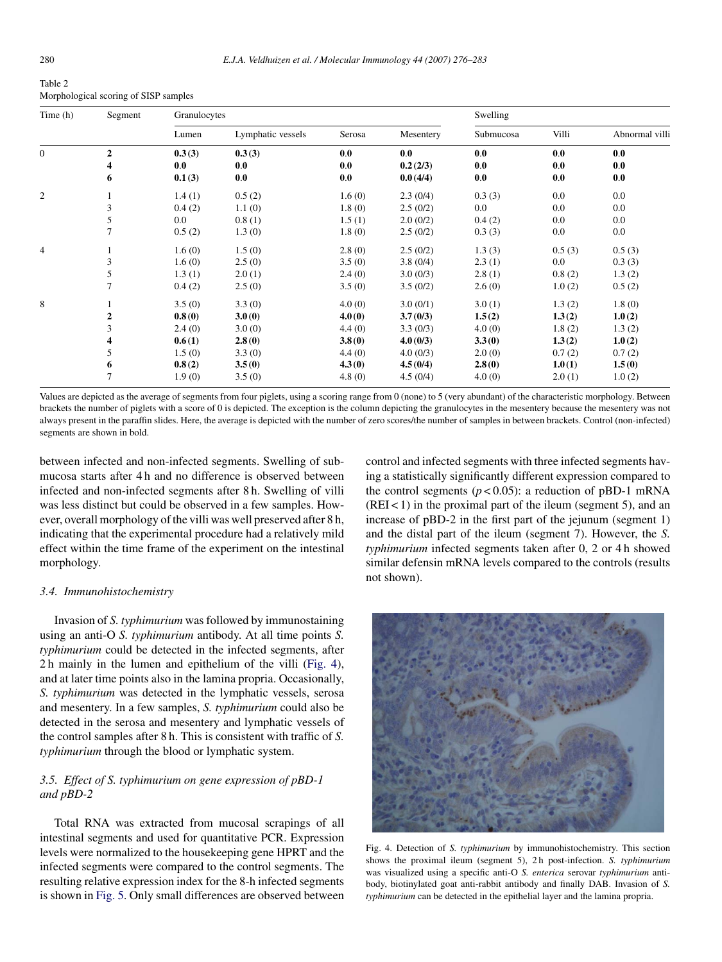<span id="page-4-0"></span>

| Table 2                               |
|---------------------------------------|
| Morphological scoring of SISP samples |

| Time (h)       | Segment          | Granulocytes |                   |        | Swelling  |           |        |                |
|----------------|------------------|--------------|-------------------|--------|-----------|-----------|--------|----------------|
|                |                  | Lumen        | Lymphatic vessels | Serosa | Mesentery | Submucosa | Villi  | Abnormal villi |
| $\theta$       | $\mathbf{2}$     | 0.3(3)       | 0.3(3)            | 0.0    | 0.0       | 0.0       | 0.0    | 0.0            |
|                | 4                | 0.0          | 0.0               | 0.0    | 0.2(2/3)  | 0.0       | 0.0    | 0.0            |
|                | 6                | 0.1(3)       | 0.0               | 0.0    | 0.0(4/4)  | 0.0       | 0.0    | 0.0            |
| 2              |                  | 1.4(1)       | 0.5(2)            | 1.6(0) | 2.3(0/4)  | 0.3(3)    | 0.0    | 0.0            |
|                | $\mathfrak{Z}$   | 0.4(2)       | 1.1(0)            | 1.8(0) | 2.5(0/2)  | 0.0       | 0.0    | 0.0            |
|                | 5                | 0.0          | 0.8(1)            | 1.5(1) | 2.0(0/2)  | 0.4(2)    | 0.0    | 0.0            |
|                | $\tau$           | 0.5(2)       | 1.3(0)            | 1.8(0) | 2.5(0/2)  | 0.3(3)    | 0.0    | 0.0            |
| $\overline{4}$ | 1                | 1.6(0)       | 1.5(0)            | 2.8(0) | 2.5(0/2)  | 1.3(3)    | 0.5(3) | 0.5(3)         |
|                | 3                | 1.6(0)       | 2.5(0)            | 3.5(0) | 3.8(0/4)  | 2.3(1)    | 0.0    | 0.3(3)         |
|                | 5                | 1.3(1)       | 2.0(1)            | 2.4(0) | 3.0(0/3)  | 2.8(1)    | 0.8(2) | 1.3(2)         |
|                | $\overline{7}$   | 0.4(2)       | 2.5(0)            | 3.5(0) | 3.5(0/2)  | 2.6(0)    | 1.0(2) | 0.5(2)         |
| 8              | 1                | 3.5(0)       | 3.3(0)            | 4.0(0) | 3.0(0/1)  | 3.0(1)    | 1.3(2) | 1.8(0)         |
|                | $\boldsymbol{2}$ | 0.8(0)       | 3.0(0)            | 4.0(0) | 3.7(0/3)  | 1.5(2)    | 1.3(2) | 1.0(2)         |
|                | $\mathfrak{Z}$   | 2.4(0)       | 3.0(0)            | 4.4(0) | 3.3(0/3)  | 4.0(0)    | 1.8(2) | 1.3(2)         |
|                | 4                | 0.6(1)       | 2.8(0)            | 3.8(0) | 4.0(0/3)  | 3.3(0)    | 1.3(2) | 1.0(2)         |
|                | 5                | 1.5(0)       | 3.3(0)            | 4.4(0) | 4.0(0/3)  | 2.0(0)    | 0.7(2) | 0.7(2)         |
|                | 6                | 0.8(2)       | 3.5(0)            | 4.3(0) | 4.5(0/4)  | 2.8(0)    | 1.0(1) | 1.5(0)         |
|                | $\overline{7}$   | 1.9(0)       | 3.5(0)            | 4.8(0) | 4.5(0/4)  | 4.0(0)    | 2.0(1) | 1.0(2)         |

Values are depicted as the average of segments from four piglets, using a scoring range from 0 (none) to 5 (very abundant) of the characteristic morphology. Between brackets the number of piglets with a score of 0 is depicted. The exception is the column depicting the granulocytes in the mesentery because the mesentery was not always present in the paraffin slides. Here, the average is depicted with the number of zero scores/the number of samples in between brackets. Control (non-infected) segments are shown in bold.

between infected and non-infected segments. Swelling of submucosa starts after 4 h and no difference is observed between infected and non-infected segments after 8 h. Swelling of villi was less distinct but could be observed in a few samples. However, overall morphology of the villi was well preserved after 8 h, indicating that the experimental procedure had a relatively mild effect within the time frame of the experiment on the intestinal morphology.

## *3.4. Immunohistochemistry*

Invasion of *S. typhimurium* was followed by immunostaining using an anti-O *S. typhimurium* antibody. At all time points *S. typhimurium* could be detected in the infected segments, after 2 h mainly in the lumen and epithelium of the villi (Fig. 4), and at later time points also in the lamina propria. Occasionally, *S. typhimurium* was detected in the lymphatic vessels, serosa and mesentery. In a few samples, *S. typhimurium* could also be detected in the serosa and mesentery and lymphatic vessels of the control samples after 8 h. This is consistent with traffic of *S. typhimurium* through the blood or lymphatic system.

# *3.5. Effect of S. typhimurium on gene expression of pBD-1 and pBD-2*

Total RNA was extracted from mucosal scrapings of all intestinal segments and used for quantitative PCR. Expression levels were normalized to the housekeeping gene HPRT and the infected segments were compared to the control segments. The resulting relative expression index for the 8-h infected segments is shown in [Fig. 5. O](#page-5-0)nly small differences are observed between control and infected segments with three infected segments having a statistically significantly different expression compared to the control segments  $(p < 0.05)$ : a reduction of pBD-1 mRNA  $(REI < 1)$  in the proximal part of the ileum (segment 5), and an increase of pBD-2 in the first part of the jejunum (segment 1) and the distal part of the ileum (segment 7). However, the *S. typhimurium* infected segments taken after 0, 2 or 4 h showed similar defensin mRNA levels compared to the controls (results not shown).



Fig. 4. Detection of *S. typhimurium* by immunohistochemistry. This section shows the proximal ileum (segment 5), 2 h post-infection. *S. typhimurium* was visualized using a specific anti-O *S. enterica* serovar *typhimurium* antibody, biotinylated goat anti-rabbit antibody and finally DAB. Invasion of *S. typhimurium* can be detected in the epithelial layer and the lamina propria.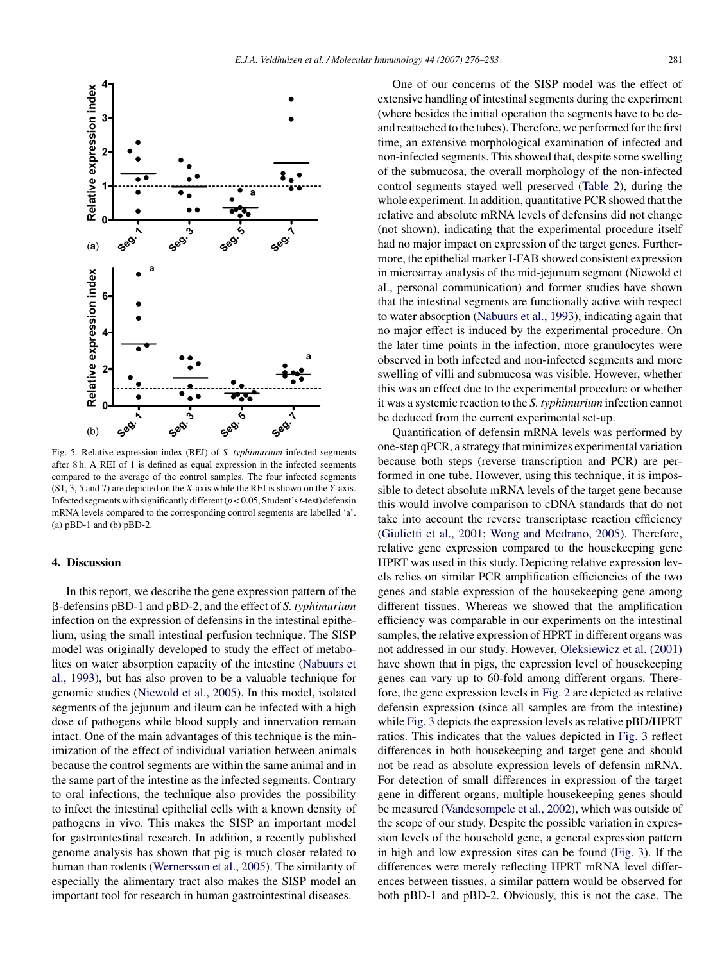<span id="page-5-0"></span>

Fig. 5. Relative expression index (REI) of *S. typhimurium* infected segments after 8 h. A REI of 1 is defined as equal expression in the infected segments compared to the average of the control samples. The four infected segments (S1, 3, 5 and 7) are depicted on the *X*-axis while the REI is shown on the *Y*-axis. Infected segments with significantly different (*p* < 0.05, Student's*t*-test) defensin mRNA levels compared to the corresponding control segments are labelled 'a'.  $(a)$  pBD-1 and  $(b)$  pBD-2.

## **4. Discussion**

In this report, we describe the gene expression pattern of the -defensins pBD-1 and pBD-2, and the effect of *S. typhimurium* infection on the expression of defensins in the intestinal epithelium, using the small intestinal perfusion technique. The SISP model was originally developed to study the effect of metabolites on water absorption capacity of the intestine ([Nabuurs et](#page-7-0) [al., 1993\),](#page-7-0) but has also proven to be a valuable technique for genomic studies ([Niewold et al., 2005\).](#page-7-0) In this model, isolated segments of the jejunum and ileum can be infected with a high dose of pathogens while blood supply and innervation remain intact. One of the main advantages of this technique is the minimization of the effect of individual variation between animals because the control segments are within the same animal and in the same part of the intestine as the infected segments. Contrary to oral infections, the technique also provides the possibility to infect the intestinal epithelial cells with a known density of pathogens in vivo. This makes the SISP an important model for gastrointestinal research. In addition, a recently published genome analysis has shown that pig is much closer related to human than rodents [\(Wernersson et al., 2005\).](#page-7-0) The similarity of especially the alimentary tract also makes the SISP model an important tool for research in human gastrointestinal diseases.

One of our concerns of the SISP model was the effect of extensive handling of intestinal segments during the experiment (where besides the initial operation the segments have to be deand reattached to the tubes). Therefore, we performed for the first time, an extensive morphological examination of infected and non-infected segments. This showed that, despite some swelling of the submucosa, the overall morphology of the non-infected control segments stayed well preserved [\(Table 2\),](#page-4-0) during the whole experiment. In addition, quantitative PCR showed that the relative and absolute mRNA levels of defensins did not change (not shown), indicating that the experimental procedure itself had no major impact on expression of the target genes. Furthermore, the epithelial marker I-FAB showed consistent expression in microarray analysis of the mid-jejunum segment (Niewold et al., personal communication) and former studies have shown that the intestinal segments are functionally active with respect to water absorption ([Nabuurs et al., 1993\),](#page-7-0) indicating again that no major effect is induced by the experimental procedure. On the later time points in the infection, more granulocytes were observed in both infected and non-infected segments and more swelling of villi and submucosa was visible. However, whether this was an effect due to the experimental procedure or whether it was a systemic reaction to the *S. typhimurium* infection cannot be deduced from the current experimental set-up.

Quantification of defensin mRNA levels was performed by one-step qPCR, a strategy that minimizes experimental variation because both steps (reverse transcription and PCR) are performed in one tube. However, using this technique, it is impossible to detect absolute mRNA levels of the target gene because this would involve comparison to cDNA standards that do not take into account the reverse transcriptase reaction efficiency ([Giulietti et al., 2001; Wong and Medrano, 2005\).](#page-6-0) Therefore, relative gene expression compared to the housekeeping gene HPRT was used in this study. Depicting relative expression levels relies on similar PCR amplification efficiencies of the two genes and stable expression of the housekeeping gene among different tissues. Whereas we showed that the amplification efficiency was comparable in our experiments on the intestinal samples, the relative expression of HPRT in different organs was not addressed in our study. However, [Oleksiewicz et al. \(2001\)](#page-7-0) have shown that in pigs, the expression level of housekeeping genes can vary up to 60-fold among different organs. Therefore, the gene expression levels in [Fig. 2](#page-3-0) are depicted as relative defensin expression (since all samples are from the intestine) while [Fig. 3](#page-3-0) depicts the expression levels as relative pBD/HPRT ratios. This indicates that the values depicted in [Fig. 3](#page-3-0) reflect differences in both housekeeping and target gene and should not be read as absolute expression levels of defensin mRNA. For detection of small differences in expression of the target gene in different organs, multiple housekeeping genes should be measured ([Vandesompele et al., 2002\),](#page-7-0) which was outside of the scope of our study. Despite the possible variation in expression levels of the household gene, a general expression pattern in high and low expression sites can be found [\(Fig. 3\).](#page-3-0) If the differences were merely reflecting HPRT mRNA level differences between tissues, a similar pattern would be observed for both pBD-1 and pBD-2. Obviously, this is not the case. The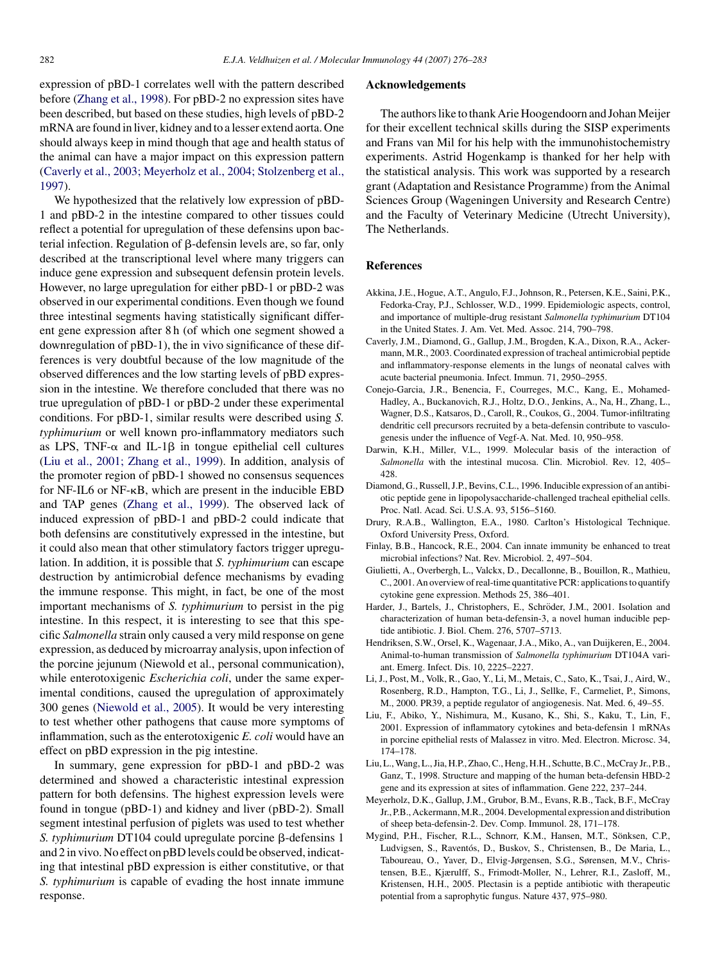<span id="page-6-0"></span>expression of pBD-1 correlates well with the pattern described before ([Zhang et al., 1998\).](#page-7-0) For pBD-2 no expression sites have been described, but based on these studies, high levels of pBD-2 mRNA are found in liver, kidney and to a lesser extend aorta. One should always keep in mind though that age and health status of the animal can have a major impact on this expression pattern (Caverly et al., 2003; Meyerholz et al., 2004; Stolzenberg et al., 1997).

We hypothesized that the relatively low expression of pBD-1 and pBD-2 in the intestine compared to other tissues could reflect a potential for upregulation of these defensins upon bacterial infection. Regulation of  $\beta$ -defensin levels are, so far, only described at the transcriptional level where many triggers can induce gene expression and subsequent defensin protein levels. However, no large upregulation for either pBD-1 or pBD-2 was observed in our experimental conditions. Even though we found three intestinal segments having statistically significant different gene expression after 8 h (of which one segment showed a downregulation of pBD-1), the in vivo significance of these differences is very doubtful because of the low magnitude of the observed differences and the low starting levels of pBD expression in the intestine. We therefore concluded that there was no true upregulation of pBD-1 or pBD-2 under these experimental conditions. For pBD-1, similar results were described using *S. typhimurium* or well known pro-inflammatory mediators such as LPS, TNF- $\alpha$  and IL-1 $\beta$  in tongue epithelial cell cultures (Liu et al., 2001; Zhang et al., 1999). In addition, analysis of the promoter region of pBD-1 showed no consensus sequences for NF-IL6 or NF- $\kappa$ B, which are present in the inducible EBD and TAP genes ([Zhang et al., 1999\).](#page-7-0) The observed lack of induced expression of pBD-1 and pBD-2 could indicate that both defensins are constitutively expressed in the intestine, but it could also mean that other stimulatory factors trigger upregulation. In addition, it is possible that *S. typhimurium* can escape destruction by antimicrobial defence mechanisms by evading the immune response. This might, in fact, be one of the most important mechanisms of *S. typhimurium* to persist in the pig intestine. In this respect, it is interesting to see that this specific *Salmonella* strain only caused a very mild response on gene expression, as deduced by microarray analysis, upon infection of the porcine jejunum (Niewold et al., personal communication), while enterotoxigenic *Escherichia coli*, under the same experimental conditions, caused the upregulation of approximately 300 genes ([Niewold et al., 2005\).](#page-7-0) It would be very interesting to test whether other pathogens that cause more symptoms of inflammation, such as the enterotoxigenic *E. coli* would have an effect on pBD expression in the pig intestine.

In summary, gene expression for pBD-1 and pBD-2 was determined and showed a characteristic intestinal expression pattern for both defensins. The highest expression levels were found in tongue (pBD-1) and kidney and liver (pBD-2). Small segment intestinal perfusion of piglets was used to test whether *S. typhimurium* DT104 could upregulate porcine β-defensins 1 and 2 in vivo. No effect on pBD levels could be observed, indicating that intestinal pBD expression is either constitutive, or that *S. typhimurium* is capable of evading the host innate immune response.

#### **Acknowledgements**

The authors like to thank Arie Hoogendoorn and Johan Meijer for their excellent technical skills during the SISP experiments and Frans van Mil for his help with the immunohistochemistry experiments. Astrid Hogenkamp is thanked for her help with the statistical analysis. This work was supported by a research grant (Adaptation and Resistance Programme) from the Animal Sciences Group (Wageningen University and Research Centre) and the Faculty of Veterinary Medicine (Utrecht University), The Netherlands.

#### **References**

- Akkina, J.E., Hogue, A.T., Angulo, F.J., Johnson, R., Petersen, K.E., Saini, P.K., Fedorka-Cray, P.J., Schlosser, W.D., 1999. Epidemiologic aspects, control, and importance of multiple-drug resistant *Salmonella typhimurium* DT104 in the United States. J. Am. Vet. Med. Assoc. 214, 790–798.
- Caverly, J.M., Diamond, G., Gallup, J.M., Brogden, K.A., Dixon, R.A., Ackermann, M.R., 2003. Coordinated expression of tracheal antimicrobial peptide and inflammatory-response elements in the lungs of neonatal calves with acute bacterial pneumonia. Infect. Immun. 71, 2950–2955.
- Conejo-Garcia, J.R., Benencia, F., Courreges, M.C., Kang, E., Mohamed-Hadley, A., Buckanovich, R.J., Holtz, D.O., Jenkins, A., Na, H., Zhang, L., Wagner, D.S., Katsaros, D., Caroll, R., Coukos, G., 2004. Tumor-infiltrating dendritic cell precursors recruited by a beta-defensin contribute to vasculogenesis under the influence of Vegf-A. Nat. Med. 10, 950–958.
- Darwin, K.H., Miller, V.L., 1999. Molecular basis of the interaction of *Salmonella* with the intestinal mucosa. Clin. Microbiol. Rev. 12, 405– 428.
- Diamond, G., Russell, J.P., Bevins, C.L., 1996. Inducible expression of an antibiotic peptide gene in lipopolysaccharide-challenged tracheal epithelial cells. Proc. Natl. Acad. Sci. U.S.A. 93, 5156–5160.
- Drury, R.A.B., Wallington, E.A., 1980. Carlton's Histological Technique. Oxford University Press, Oxford.
- Finlay, B.B., Hancock, R.E., 2004. Can innate immunity be enhanced to treat microbial infections? Nat. Rev. Microbiol. 2, 497–504.
- Giulietti, A., Overbergh, L., Valckx, D., Decallonne, B., Bouillon, R., Mathieu, C., 2001. An overview of real-time quantitative PCR: applications to quantify cytokine gene expression. Methods 25, 386–401.
- Harder, J., Bartels, J., Christophers, E., Schröder, J.M., 2001. Isolation and characterization of human beta-defensin-3, a novel human inducible peptide antibiotic. J. Biol. Chem. 276, 5707–5713.
- Hendriksen, S.W., Orsel, K., Wagenaar, J.A., Miko, A., van Duijkeren, E., 2004. Animal-to-human transmission of *Salmonella typhimurium* DT104A variant. Emerg. Infect. Dis. 10, 2225–2227.
- Li, J., Post, M., Volk, R., Gao, Y., Li, M., Metais, C., Sato, K., Tsai, J., Aird, W., Rosenberg, R.D., Hampton, T.G., Li, J., Sellke, F., Carmeliet, P., Simons, M., 2000. PR39, a peptide regulator of angiogenesis. Nat. Med. 6, 49–55.
- Liu, F., Abiko, Y., Nishimura, M., Kusano, K., Shi, S., Kaku, T., Lin, F., 2001. Expression of inflammatory cytokines and beta-defensin 1 mRNAs in porcine epithelial rests of Malassez in vitro. Med. Electron. Microsc. 34, 174–178.
- Liu, L., Wang, L., Jia, H.P., Zhao, C., Heng, H.H., Schutte, B.C., McCray Jr., P.B., Ganz, T., 1998. Structure and mapping of the human beta-defensin HBD-2 gene and its expression at sites of inflammation. Gene 222, 237–244.
- Meyerholz, D.K., Gallup, J.M., Grubor, B.M., Evans, R.B., Tack, B.F., McCray Jr., P.B., Ackermann, M.R., 2004. Developmental expression and distribution of sheep beta-defensin-2. Dev. Comp. Immunol. 28, 171–178.
- Mygind, P.H., Fischer, R.L., Schnorr, K.M., Hansen, M.T., Sönksen, C.P., Ludvigsen, S., Raventós, D., Buskov, S., Christensen, B., De Maria, L., Taboureau, O., Yaver, D., Elvig-Jørgensen, S.G., Sørensen, M.V., Christensen, B.E., Kjærulff, S., Frimodt-Moller, N., Lehrer, R.I., Zasloff, M., Kristensen, H.H., 2005. Plectasin is a peptide antibiotic with therapeutic potential from a saprophytic fungus. Nature 437, 975–980.